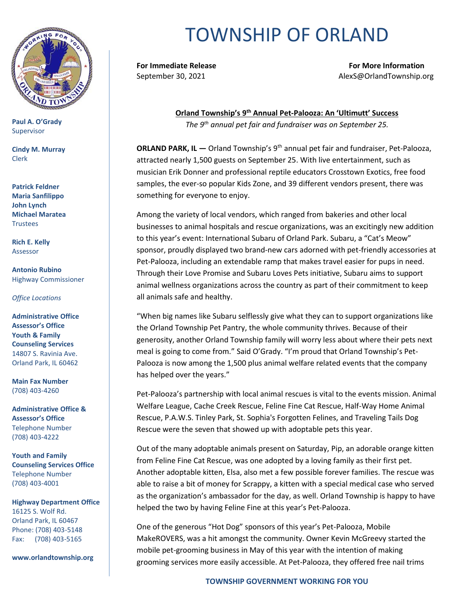

**Paul A. O'Grady** Supervisor

**Cindy M. Murray** Clerk

**Patrick Feldner Maria Sanfilippo John Lynch Michael Maratea Trustees** 

**Rich E. Kelly** Assessor

**Antonio Rubino** Highway Commissioner

*Office Locations*

**Administrative Office Assessor's Office Youth & Family Counseling Services** 14807 S. Ravinia Ave. Orland Park, IL 60462

**Main Fax Number**  (708) 403-4260

**Administrative Office & Assessor's Office**  Telephone Number (708) 403-4222

**Youth and Family Counseling Services Office**  Telephone Number (708) 403-4001

**Highway Department Office** 16125 S. Wolf Rd. Orland Park, IL 60467 Phone: (708) 403-5148 Fax: (708) 403-5165

**www.orlandtownship.org**

## TOWNSHIP OF ORLAND

**For Immediate Release For More Information** September 30, 2021 AlexS@OrlandTownship.org

> **Orland Township's 9 th Annual Pet-Palooza: An 'Ultimutt' Success** *The 9th annual pet fair and fundraiser was on September 25.*

**ORLAND PARK, IL — Orland Township's 9<sup>th</sup> annual pet fair and fundraiser, Pet-Palooza,** attracted nearly 1,500 guests on September 25. With live entertainment, such as musician Erik Donner and professional reptile educators Crosstown Exotics, free food samples, the ever-so popular Kids Zone, and 39 different vendors present, there was something for everyone to enjoy.

Among the variety of local vendors, which ranged from bakeries and other local businesses to animal hospitals and rescue organizations, was an excitingly new addition to this year's event: International Subaru of Orland Park. Subaru, a "Cat's Meow" sponsor, proudly displayed two brand-new cars adorned with pet-friendly accessories at Pet-Palooza, including an extendable ramp that makes travel easier for pups in need. Through their Love Promise and Subaru Loves Pets initiative, Subaru aims to support animal wellness organizations across the country as part of their commitment to keep all animals safe and healthy.

"When big names like Subaru selflessly give what they can to support organizations like the Orland Township Pet Pantry, the whole community thrives. Because of their generosity, another Orland Township family will worry less about where their pets next meal is going to come from." Said O'Grady. "I'm proud that Orland Township's Pet-Palooza is now among the 1,500 plus animal welfare related events that the company has helped over the years."

Pet-Palooza's partnership with local animal rescues is vital to the events mission. Animal Welfare League, Cache Creek Rescue, Feline Fine Cat Rescue, Half-Way Home Animal Rescue, P.A.W.S. Tinley Park, St. Sophia's Forgotten Felines, and Traveling Tails Dog Rescue were the seven that showed up with adoptable pets this year.

Out of the many adoptable animals present on Saturday, Pip, an adorable orange kitten from Feline Fine Cat Rescue, was one adopted by a loving family as their first pet. Another adoptable kitten, Elsa, also met a few possible forever families. The rescue was able to raise a bit of money for Scrappy, a kitten with a special medical case who served as the organization's ambassador for the day, as well. Orland Township is happy to have helped the two by having Feline Fine at this year's Pet-Palooza.

One of the generous "Hot Dog" sponsors of this year's Pet-Palooza, Mobile MakeROVERS, was a hit amongst the community. Owner Kevin McGreevy started the mobile pet-grooming business in May of this year with the intention of making grooming services more easily accessible. At Pet-Palooza, they offered free nail trims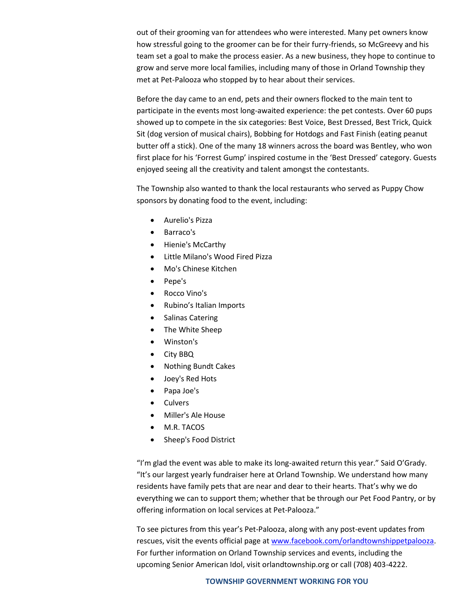out of their grooming van for attendees who were interested. Many pet owners know how stressful going to the groomer can be for their furry-friends, so McGreevy and his team set a goal to make the process easier. As a new business, they hope to continue to grow and serve more local families, including many of those in Orland Township they met at Pet-Palooza who stopped by to hear about their services.

Before the day came to an end, pets and their owners flocked to the main tent to participate in the events most long-awaited experience: the pet contests. Over 60 pups showed up to compete in the six categories: Best Voice, Best Dressed, Best Trick, Quick Sit (dog version of musical chairs), Bobbing for Hotdogs and Fast Finish (eating peanut butter off a stick). One of the many 18 winners across the board was Bentley, who won first place for his 'Forrest Gump' inspired costume in the 'Best Dressed' category. Guests enjoyed seeing all the creativity and talent amongst the contestants.

The Township also wanted to thank the local restaurants who served as Puppy Chow sponsors by donating food to the event, including:

- Aurelio's Pizza
- Barraco's
- Hienie's McCarthy
- Little Milano's Wood Fired Pizza
- Mo's Chinese Kitchen
- Pepe's
- Rocco Vino's
- Rubino's Italian Imports
- Salinas Catering
- The White Sheep
- Winston's
- City BBQ
- Nothing Bundt Cakes
- Joey's Red Hots
- Papa Joe's
- Culvers
- Miller's Ale House
- M.R. TACOS
- Sheep's Food District

"I'm glad the event was able to make its long-awaited return this year." Said O'Grady. "It's our largest yearly fundraiser here at Orland Township. We understand how many residents have family pets that are near and dear to their hearts. That's why we do everything we can to support them; whether that be through our Pet Food Pantry, or by offering information on local services at Pet-Palooza."

To see pictures from this year's Pet-Palooza, along with any post-event updates from rescues, visit the events official page at [www.facebook.com/orlandtownshippetpalooza.](http://www.facebook.com/orlandtownshippetpalooza) For further information on Orland Township services and events, including the upcoming Senior American Idol, visit orlandtownship.org or call (708) 403-4222.

## **TOWNSHIP GOVERNMENT WORKING FOR YOU**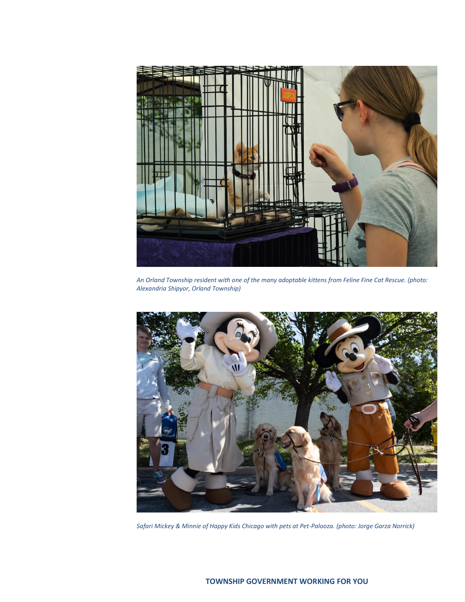

*An Orland Township resident with one of the many adoptable kittens from Feline Fine Cat Rescue. (photo: Alexandria Shipyor, Orland Township)*



*Safari Mickey & Minnie of Happy Kids Chicago with pets at Pet-Palooza. (photo: Jorge Garza Norrick)*

## **TOWNSHIP GOVERNMENT WORKING FOR YOU**